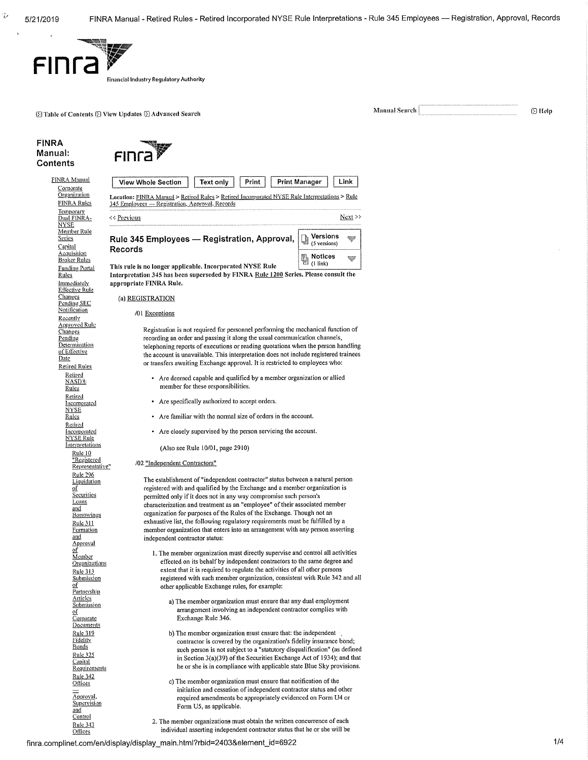v

 $\tilde{\mathbf{v}}$ 



1:151 Table of Contents **1:21** View Updates **1:25 Advanced Search Manual Search Manual Search (2) Help** 

### FINRA Manual: Contents



| FINF2 |  |  |
|-------|--|--|

| Text only<br>Print<br><b>View Whole Section</b>                                                                                                                                                                                                                                                                                                                                                                                                                                                                                                                                             | Print Manager<br>Link                                       |  |  |  |  |  |
|---------------------------------------------------------------------------------------------------------------------------------------------------------------------------------------------------------------------------------------------------------------------------------------------------------------------------------------------------------------------------------------------------------------------------------------------------------------------------------------------------------------------------------------------------------------------------------------------|-------------------------------------------------------------|--|--|--|--|--|
| Location: FINRA Manual > Retired Rules > Retired Incorporated NYSE Rule Interpretations > Rule<br>345 Employees - Registration, Approval, Records                                                                                                                                                                                                                                                                                                                                                                                                                                           |                                                             |  |  |  |  |  |
| ≮¢ Previous                                                                                                                                                                                                                                                                                                                                                                                                                                                                                                                                                                                 | Next >                                                      |  |  |  |  |  |
| Rule 345 Employees - Registration, Approval,<br>Records                                                                                                                                                                                                                                                                                                                                                                                                                                                                                                                                     | Versions<br>(5 versions)                                    |  |  |  |  |  |
| This rule is no longer applicable. Incorporated NYSE Rule<br>Interpretation 345 has been superseded by FINRA Rule 1200 Series. Please consult the                                                                                                                                                                                                                                                                                                                                                                                                                                           | Notices<br>₩<br>$(1$ link)                                  |  |  |  |  |  |
| appropriate FINRA Rule.                                                                                                                                                                                                                                                                                                                                                                                                                                                                                                                                                                     |                                                             |  |  |  |  |  |
| (a) REGISTRATION                                                                                                                                                                                                                                                                                                                                                                                                                                                                                                                                                                            |                                                             |  |  |  |  |  |
| /01 Exceptions                                                                                                                                                                                                                                                                                                                                                                                                                                                                                                                                                                              |                                                             |  |  |  |  |  |
| Registration is not required for personnel performing the mechanical function of<br>recording an order and passing it along the usual communication channels,<br>telephoning reports of executions or reading quotations when the person handling<br>the account is unavailable. This interpretation does not include registered trainees<br>or transfers awaiting Exchange approval. It is restricted to employees who:                                                                                                                                                                    |                                                             |  |  |  |  |  |
| • Are deemed capable and qualified by a member organization or allied<br>member for these responsibilities.                                                                                                                                                                                                                                                                                                                                                                                                                                                                                 |                                                             |  |  |  |  |  |
| • Are specifically authorized to accept orders.                                                                                                                                                                                                                                                                                                                                                                                                                                                                                                                                             |                                                             |  |  |  |  |  |
| • Are familiar with the normal size of orders in the account.                                                                                                                                                                                                                                                                                                                                                                                                                                                                                                                               |                                                             |  |  |  |  |  |
|                                                                                                                                                                                                                                                                                                                                                                                                                                                                                                                                                                                             | Are closely supervised by the person servicing the account. |  |  |  |  |  |
| (Also see Rule 10/01, page 2910)                                                                                                                                                                                                                                                                                                                                                                                                                                                                                                                                                            |                                                             |  |  |  |  |  |
| /02 "Independent Contractors"                                                                                                                                                                                                                                                                                                                                                                                                                                                                                                                                                               |                                                             |  |  |  |  |  |
| The establishment of "independent contractor" status between a natural person<br>registered with and qualified by the Exchange and a member organization is<br>permitted only if it does not in any way compromise such person's<br>characterization and treatment as an "employee" of their associated member<br>organization for purposes of the Rules of the Exchange. Though not an<br>exhaustive list, the following regulatory requirements must be fulfilled by a<br>member organization that enters into an arrangement with any person asserting<br>independent contractor status: |                                                             |  |  |  |  |  |
| 1. The member organization must directly supervise and control all activities<br>effected on its behalf by independent contractors to the same degree and<br>extent that it is required to regulate the activities of all other persons<br>registered with such member organization, consistent with Rule 342 and all<br>other applicable Exchange rules, for example:                                                                                                                                                                                                                      |                                                             |  |  |  |  |  |
| a) The member organization must ensure that any dual employment<br>arrangement involving an independent contractor complies with<br>Exchange Rule 346.                                                                                                                                                                                                                                                                                                                                                                                                                                      |                                                             |  |  |  |  |  |
| b) The member organization must ensure that: the independent<br>contractor is covered by the organization's fidelity insurance bond;<br>such person is not subject to a "statutory disqualification" (as defined<br>in Section 3(a)(39) of the Securities Exchange Act of 1934); and that<br>he or she is in compliance with applicable state Blue Sky provisions.                                                                                                                                                                                                                          |                                                             |  |  |  |  |  |
| c) The member organization must ensure that notification of the<br>initiation and cessation of independent contractor status and other<br>required amendments be appropriately evidenced on Form U4 or<br>Form U5, as applicable.                                                                                                                                                                                                                                                                                                                                                           |                                                             |  |  |  |  |  |

2. The member organizations must obtain the written concurrence of each individual asserting independent contractor status that he or she will be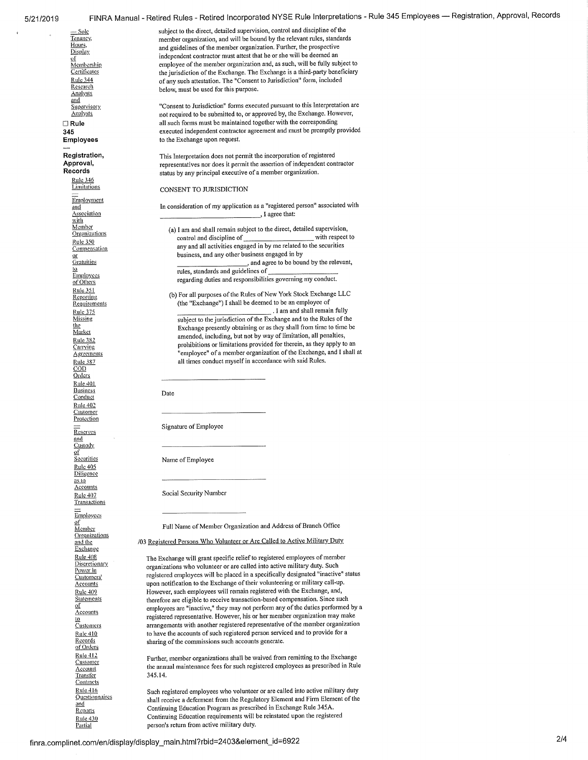Research<br>Analysts and<br>Supervisory Rule 346 **Limitations Employment** and **Association** with Member<br>Organizations Rule 350 **Compensation** or **Gratuities** to **Employees** of Others Rule 351 Reporting **Requirements** Rule 375 Missing the **Market** Rule 382 **Canying** Agreements Rule 387<br>COD **Orders** Rule 401 Business **Conduct** Rule 402 **Customer Protection** Reserves and Custody of<br>Securities Rule 405 **Diligence** as to **Accounts** Rule 407 **Transactions**  $\equiv$ Employees of Member<br>Organizations and the Exchange Rule 408 **Discretionary** Power in Customers' Accounts Rule 409 Statements of **Accounts**  $\overline{10}$ **Customers** Rule 410 <u>Records</u><br><u>of Orders</u> Rule 412 Customer Account Transfer **Contracts** Rule 416 :Questionnaires and Reports Rule 430

Partial

5/21/2019 FINRA Manual - Retired Rules - Retired Incorporated NYSE Rule Interpretations - Rule 345 Employees — Registration, Approval, Records

 $\frac{1}{2}$  sole subject to the direct, detailed supervision, control and discipline of the Tenancy. Tenancy,<br>
Tenancy,<br>
Hours,<br>
Hours,<br>
and onidelines of the member organization. Further, the prospective Hours,<br>Display and guidelines of the member organization. Further, the prospective<br>  $\frac{1}{2}$  $\frac{1}{2}$  independent contractor must attest that he or she will be deemed an employee of the member organization and, as such, will be fully sul-<br>Membership employee of the member organization and, as such, will be fully subject to Certificates the jurisdiction of the Exchange. The Exchange is a third-party beneficiary<br>Rule 344 of any such attestation. The "Consent to Jurisdiction" form, included of any such attestation. The "Consent to Jurisdiction" form, included below, must be used for this purpose.

<sup>5</sup>Supervisory **The Consent to Jurisdiction** " forms executed pursuant to this Interpretation are  $\frac{\Delta \text{naI} y_2}{\Delta \text{naI} y_2}$  and required to be submitted to, or approved by, the Exchange. However, not required to be submitted to, or approved by, the Exchange. However, E Rule all such forms must be maintained together with the corresponding<br>345 secuted independent contractor agreement and must be promptly provided. 345 executed independent contractor agreement and must be promptly provided<br>Employees to the Exchange upon request. to the Exchange upon request.

Registration, This Interpretation does not permit the incorporation of registered Approval, representatives nor does it permit the assertion of independent con Approval,<br>
Records
representatives nor does it permit the assertion of independent contractor<br>
Records
represents by any principal executive of a member organization. status by any principal executive of a member organization.

CONSENT TO JURISDICTION

In consideration of my application as a "registered person" associated with I agree that:

(a) I am and shall remain subject to the direct, detailed supervision,<br>control and discipline of control and discipline of any and all activities engaged in by me related to the securities business, and any other business engaged in by ,and agree to be bound by the relevant,

rules, standards and guidelines of regarding duties and responsibilities governing my conduct.

(b) For all purposes of the Rules of New York Stock Exchange LLC (the "Exchange") I shall be deemed to be an employee of

. I ant and shall remain fully subject to the jurisdiction of the Exchange and to the Rules of the Exchange presently obtaining or as they shall from fime to time be amended, including, but not by way of limitation, all penalties, prohibitions or limitations provided for therein, as they apply to an "employee" of a member organization of the Exchange, and I shall at all times conduct myself in accordance with said Rules.

Date

Signature of Employee

Name of Employee

Social Security Number

Full Name of Member Organization and Address of Branch Office

/03 Registered Persons Who Volunteer or Are Called to Active Military Duty,

The Exchange will grant specific relief to registered employees of member organizations who volunteer or are called into active military duty. Such registered employees will be placed in a specifically designated "inactive" status upon notification to the Exchange of their volunteering or military call-up. However, such employees will remain registered with the Exchange, and, therefore are eligible to receive transaction-based compensation. Since such employees are "inactive," they may not perform any of the duties performed by a registered representative. However, his or her member organization may make arrangements with another registered representative of the member organization to have the accounts of such registered person serviced and to provide for a sharing of the commissions such accounts generate.

Further, member organizations shall be waived from remitting to the Exchange the annual maintenance fees for such registered employees as prescribed in Rule 345.14.

Such registered employees who volunteer or are called into active military duty shall receive a deferment from the Regulatory Element and Firm Element of the Continuing Education Program as prescribed in Exchange Rule 345A. Continuing Education requirements will be reinstated upon the registered person's return from active military duty.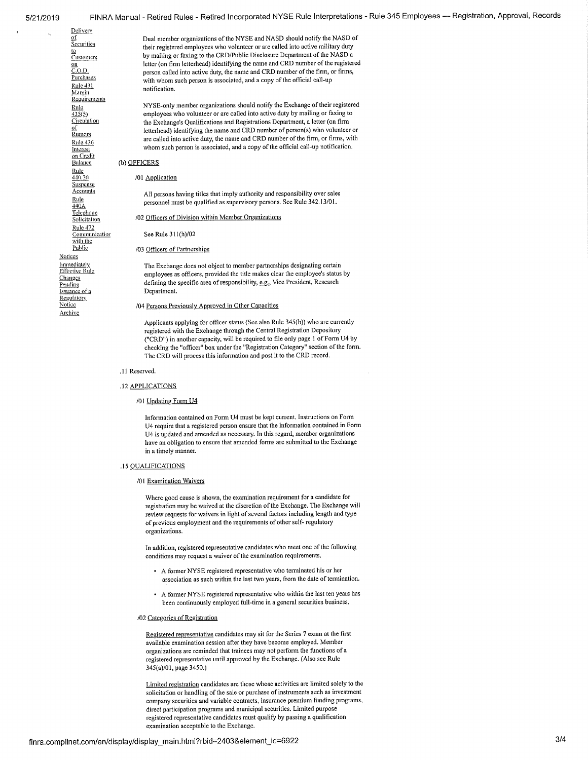of **Securities** LQ **Customers** of

Delivery

<u>on</u><br><u>C.O.D.</u> Purchases Rule 431 <u>Margin</u><br>Requirements Rumors on Credit<br>Balance  $rac{Rule}{440.20}$ **Suspense** Telephone<br>Solicitation

Rule 472 **Communication**<br>with the<br><u>Public</u> **Notices Immediately** Effective Rule Changes Pending Issuance of a **Regulatory** Notice Archive

Dual member organizations of the NYSE and NASD should notify the NASD of their registered employees who volunteer or are called into active military duty by mailing or faxing to the CRD/Public Disclosure Department of the NASD a letter (on firm letterhead) identifying the name and CRD number of the registered person called into active duty, the name and CRD number of the firm, or firms, with whom such person is associated, and a copy of the official call-up notification.

Rule NYSE-only member organizations should notify the Exchange of their registered<br>  $\frac{R10c}{435(5)}$  employees who volunteer or are called into active duty by mailing or faxing to  $\frac{435(5)}{201(5)}$  employees who volunteer or are called into active duty by mailing or faxing to Circulation<br>Circulation the Exchange's Qualifications and Registrations Department, a letter (on firm the Exchange's Qualifications and Registrations Department, a letter (on firm letterhead) identifying the name and CRD number of person(s) who volunteer or  $\frac{\text{Rule 436}}{\text{Rule 436}}$  are called into active duty, the name and CRD number of the firm, or firms, with  $I = \frac{R \ln 2430}{R \ln 260}$  whom such person is associated, and a copy of the official call-up notification.

### (b) OFFICERS

### /01 Application

 $\frac{\text{Accounts}}{\text{Rule}}$ <br>All persons having titles that imply authority and responsibility over sales<br> $\frac{\text{Rule}}{440\text{A}}$  personnel must be qualified as supervisory persons. See Rule 342.13/01. personnel must be qualified as supervisory persons. See Rule 342.13/01.

### /02 Officers of Division within Member Organizations

See Rule 311(h)/02

### /03 Officers of Partnerships

The Exchange does not object to member partnerships designating certain employees as officers, provided the title makes clear the employee's status by defining the specific area of responsibility, e.g., Vice President, Research Department.

### /04 Persons Previously Approved in Other Capacities

Applicants applying for officer status (See also Rule 345(b)) who are currently registered with the Exchange through the Central Registration Depository ("CRD") in another capacity, will be required to file only page 1 of Form U4 by checking the "officer" box under the "Registration Category" section of the form. The CRD will process this information and post it to the CRD record.

### .11 Reserved.

### .12 APPLICATIONS

### /01 Updating Form U4

Inforination contained on Form U4 must be kept current. Instructions on Form U4 require that a registered person ensure that the information contained in Form U4 is updated and amended as necessary. In this regard, member organizations have an obligation to ensure that amended forms are submitted to the Exchange in a timely manner.

### .15 QUALIFICATIONS

### /01 Examination Waivers

Where good cause is shown, the examination requirement for a candidate for registration may be waived at the discretion of the Exchange. The Exchange will review requests for waivers in light of several factors including length and type of previous employment and the requirements of other self- regulatory organizations.

In addition, registered representative candidates who meet one of the following conditions may request a waiver of the examination requirements.

- A former NYSE registered representative who terminated his or her association as such within the last two years, from the date of termination.
- A former NYSE registered representative who within the last ten years has been continuously employed full-time in a general securities business.

### /02 Categories of Registration

Registered representative candidates may sit for the Series 7 exam at the first available examination session after they have become employed. Member organizations are reminded that trainees may not perform the functions of a registered representative until approved by the Exchange. (Also see Rule 345(a)/01, page 3450.)

Limited registration candidates are those whose activities are limited solely to the solicitation or handling of the sale or purchase of instruments such as investment company securities and variable contracts, insurance premium funding programs, direct participation programs and municipal securities. Limited purpose registered representative candidates must qualify by passing a qualification examination acceptable to the Exchange.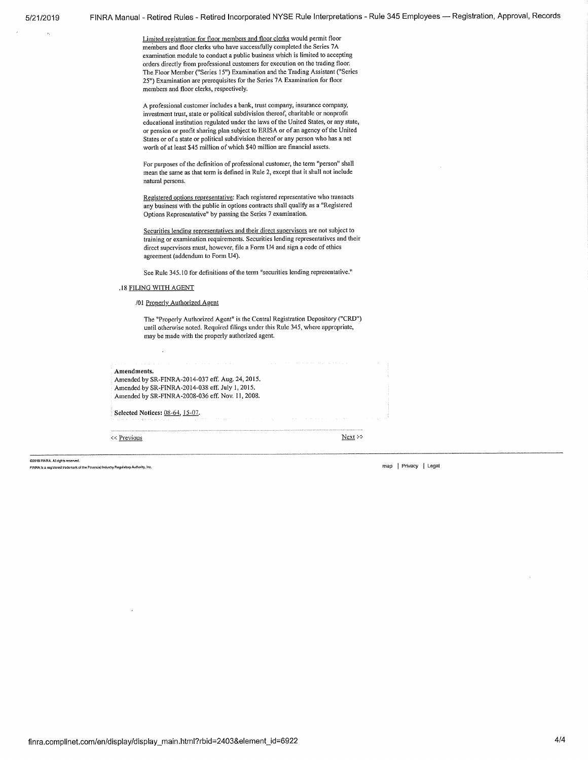Limited registration for floor members and floor clerks would permit floor members and floor clerks who have successfully completed the Series 7A examination module to conduct a public business which is limited to accepting orders directly from professional customers for execution on the trading floor. The Floor Member ("Series 15") Examination and the Trading Assistant ("Series 25") Examination are prerequisites for the Series 7A Examination for floor members and floor clerks, respectively.

A professional customer includes a bank, trust company, insurance company, investment trust, state or political subdivision thereof, charitable or nonprofit educational institution regulated under the laws of the United States, or any state, or pension or profit sharing plan subject to ERISA or of an agency of the United States or of a state or political subdivision thereof or any person who has a net worth of at least \$45 million of which \$40 million are financial assets.

For purposes of the definition of professional customer, the term "person" shall mean the same as that term is defined in Rule 2, except that it shall not include natural persons.

Registered options representative: Each registered representative who transacts any business with the public in options contracts shall qualify as a "Registered Options Representative" by passing the Series 7 examination.

Securities lending representatives and their direct supervisors are not subject to training or examination requirements. Securities lending representatives and their direct supervisors must, however, file a Form 114 and sign a code of ethics agreement (addendum to Form U4).

See Rule 345.10 for definitions of the term "securities lending representative."

### .18 FILING WITH AGENT

### /01 Properly Authorized Agent

The "Properly Authorized Agent" is the Central Registration Depository ("CRD") until otherwise noted. Required filings under this Rule 345, where appropriate, may be made with the properly authorized agent.

Amendments. Amended by SR-FINRA-2014-037 eff. Aug. 24, 2015. Amended by SR-FINRA-2014-038 eff. July 1, 2015. Amended by SR-FINRA-2008-036 eff. Nov. II, 2008. Selected Notices: 08-64, 15-07. Previous Next x and the Next x and the Next x and the Next x and the Next x and the Next x and the Next x and the Next x and the Next x and the Next x and the Next x and the Next x and the Next x and the Next x and the Nex

02019 FINRA, AB rights reserved.

FINKS Is a reg'stered trademark of the Flnan60lndu520 ReVatory Authority, Inc, map Privacy I Legal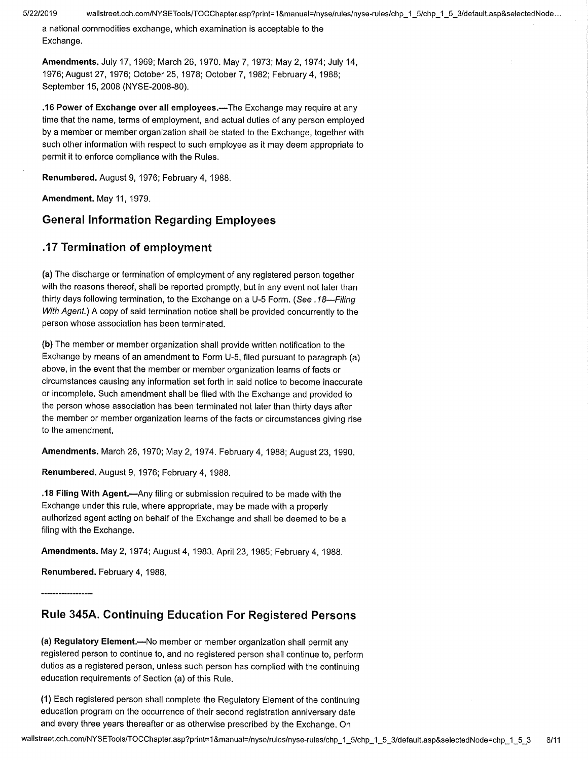a national commodities exchange, which examination is acceptable to the Exchange.

Amendments. July 17, 1969; March 26, 1970. May 7, 1973; May 2, 1974; July 14, 1976; August 27, 1976; October 25, 1978; October 7, 1982; February 4, 1988; September 15, 2008 (NYSE-2008-80).

.16 Power of Exchange over all employees.—The Exchange may require at any time that the name, terms of employment, and actual duties of any person employed by a member or member organization shall be stated to the Exchange, together with such other information with respect to such employee as it may deem appropriate to permit it to enforce compliance with the Rules.

Renumbered. August 9, 1976; February 4, 1988.

Amendment. May 11, 1979.

## General Information Regarding Employees

## .17 Termination of employment

(a)The discharge or termination of employment of any registered person together with the reasons thereof, shall be reported promptly, but in any event not later than thirty days following termination, to the Exchange on a U-5 Form. (See .18—Filing With Agent.) A copy of said termination notice shall be provided concurrently to the person whose association has been terminated.

(b) The member or member organization shall provide written notification to the Exchange by means of an amendment to Form U-5, filed pursuant to paragraph (a) above, in the event that the member or member organization learns of facts or circumstances causing any information set forth in said notice to become inaccurate or incomplete. Such amendment shall be filed with the Exchange and provided to the person whose association has been terminated not later than thirty days after the member or member organization learns of the facts or circumstances giving rise to the amendment.

Amendments. March 26, 1970; May 2, 1974. February 4, 1988; August 23, 1990.

Renumbered. August 9, 1976; February 4, 1988.

.18 Filing With Agent.—Any filing or submission required to be made with the Exchange under this rule, where appropriate, may be made with a properly authorized agent acting on behalf of the Exchange and shall be deemed to be a filing with the Exchange.

Amendments. May 2, 1974; August 4, 1983. April 23, 1985; February 4, 1988,

Renumbered. February 4, 1988.

# Rule 345A. Continuing Education For Registered Persons

(a) Regulatory Element.—No member or member organization shall permit any registered person to continue to, and no registered person shall continue to, perform duties as a registered person, unless such person has complied with the continuing education requirements of Section (a) of this Rule.

(1) Each registered person shall complete the Regulatory Element of the continuing education program on the occurrence of their second registration anniversary date and every three years thereafter or as otherwise prescribed by the Exchange. On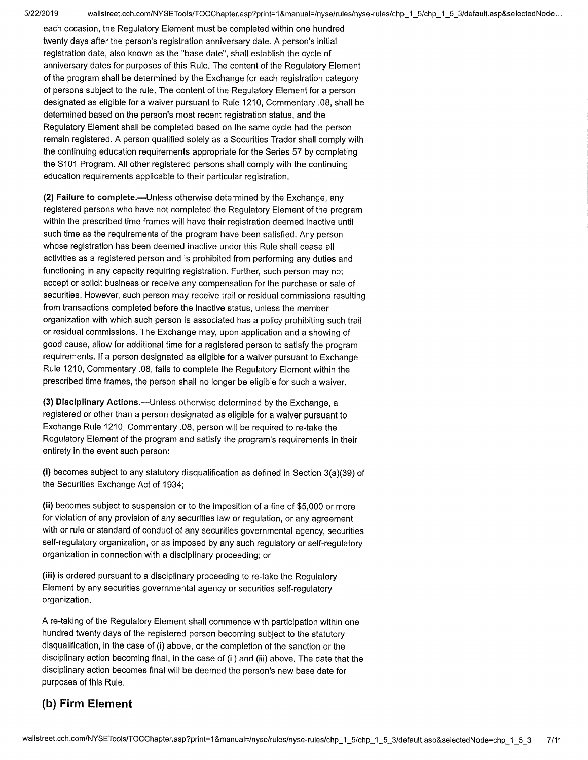each occasion, the Regulatory Element must be completed within one hundred twenty days after the person's registration anniversary date. A person's initial registration date, also known as the "base date", shall establish the cycle of anniversary dates for purposes of this Rule. The content of the Regulatory Element of the program shall be determined by the Exchange for each registration category of persons subject to the rule. The content of the Regulatory Element for a person designated as eligible for a waiver pursuant to Rule 1210, Commentary .08, shall be determined based on the person's most recent registration status, and the Regulatory Element shall be completed based on the same cycle had the person remain registered. A person qualified solely as a Securities Trader shall comply with the continuing education requirements appropriate for the Series 57 by completing the S101 Program. All other registered persons shall comply with the continuing education requirements applicable to their particular registration.

(2)Failure to complete.—Unless otherwise determined by the Exchange, any registered persons who have not completed the Regulatory Element of the program within the prescribed time frames will have their registration deemed inactive until such time as the requirements of the program have been satisfied. Any person whose registration has been deemed inactive under this Rule shall cease all activities as a registered person and is prohibited from performing any duties and functioning in any capacity requiring registration. Further, such person may not accept or solicit business or receive any compensation for the purchase or sale of securities. However, such person may receive trail or residual commissions resulting from transactions completed before the inactive status, unless the member organization with which such person is associated has a policy prohibiting such trail or residual commissions. The Exchange may, upon application and a showing of good cause, allow for additional time for a registered person to satisfy the program requirements. If a person designated as eligible for a waiver pursuant to Exchange Rule 1210, Commentary .08, fails to complete the Regulatory Element within the prescribed time frames, the person shall no longer be eligible for such a waiver.

(3)Disciplinary Actions.—Unless otherwise determined by the Exchange, a registered or other than a person designated as eligible for a waiver pursuant to Exchange Rule 1210, Commentary .08, person will be required to re-take the Regulatory Element of the program and satisfy the program's requirements in their entirety in the event such person:

(i) becomes subject to any statutory disqualification as defined in Section  $3(a)(39)$  of the Securities Exchange Act of 1934;

(ii) becomes subject to suspension or to the imposition of a fine of \$5,000 or more for violation of any provision of any securities law or regulation, or any agreement with or rule or standard of conduct of any securities governmental agency, securities self-regulatory organization, or as imposed by any such regulatory or self-regulatory organization in connection with a disciplinary proceeding; or

(iii) is ordered pursuant to a disciplinary proceeding to re-take the Regulatory Element by any securities governmental agency or securities self-regulatory organization.

A re-taking of the Regulatory Element shall commence with participation within one hundred twenty days of the registered person becoming subject to the statutory disqualification, in the case of (i) above, or the completion of the sanction or the disciplinary action becoming final, in the case of (ii) and (iii) above. The date that the disciplinary action becomes final will be deemed the person's new base date for purposes of this Rule.

# (b) Firm Element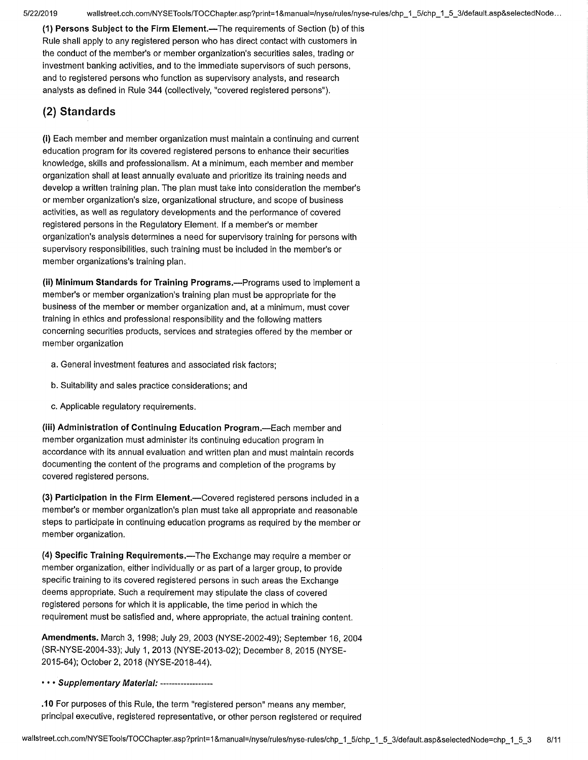5/22/2019 wallstreet.cch.com/NYSETools/TOCChapter.asp?print=1&manual=/nyse/rules/nyse-rules/chp\_1\_5/chp\_1\_5\_3/default.asp&selectedNode...

(1) Persons Subject to the Firm Element.—The requirements of Section (b) of this Rule shall apply to any registered person who has direct contact with customers in the conduct of the member's or member organization's securities sales, trading or investment banking activities, and to the immediate supervisors of such persons, and to registered persons who function as supervisory analysts, and research analysts as defined in Rule 344 (collectively, "covered registered persons").

# (2) Standards

(i) Each member and member organization must maintain a continuing and current education program for its covered registered persons to enhance their securities knowledge, skills and professionalism. At a minimum, each member and member organization shall at least annually evaluate and prioritize its training needs and develop a written training plan. The plan must take into consideration the member's or member organization's size, organizational structure, and scope of business activities, as well as regulatory developments and the performance of covered registered persons in the Regulatory Element. If a member's or member organization's analysis determines a need for supervisory training for persons with supervisory responsibilities, such training must be included in the member's or member organizations's training plan.

(ii) Minimum Standards for Training Programs.—Programs used to implement a member's or member organization's training plan must be appropriate for the business of the member or member organization and, at a minimum, must cover training in ethics and professional responsibility and the following matters concerning securities products, services and strategies offered by the member or member organization

- a.General investment features and associated risk factors;
- b.Suitability and sales practice considerations; and
- c.Applicable regulatory requirements.

(iii) Administration of Continuing Education Program.—Each member and member organization must administer its continuing education program in accordance with its annual evaluation and written plan and must maintain records documenting the content of the programs and completion of the programs by covered registered persons.

(3) Participation in the Firm Element.—Covered registered persons included in a member's or member organization's plan must take all appropriate and reasonable steps to participate in continuing education programs as required by the member or member organization.

(4) Specific Training Requirements.-The Exchange may require a member or member organization, either individually or as part of a larger group, to provide specific training to its covered registered persons in such areas the Exchange deems appropriate. Such a requirement may stipulate the class of covered registered persons for which it is applicable, the time period in which the requirement must be satisfied and, where appropriate, the actual training content.

Amendments. March 3, 1998; July 29, 2003 (NYSE-2002-49); September 16, 2004 (SR-NYSE-2004-33); July 1, 2013 (NYSE-2013-02); December 8, 2015 (NYSE-2015-64); October 2, 2018 (NYSE-2018-44).

### • • • Supplementary Material: ------------------

.10 For purposes of this Rule, the term "registered person" means any member, principal executive, registered representative, or other person registered or required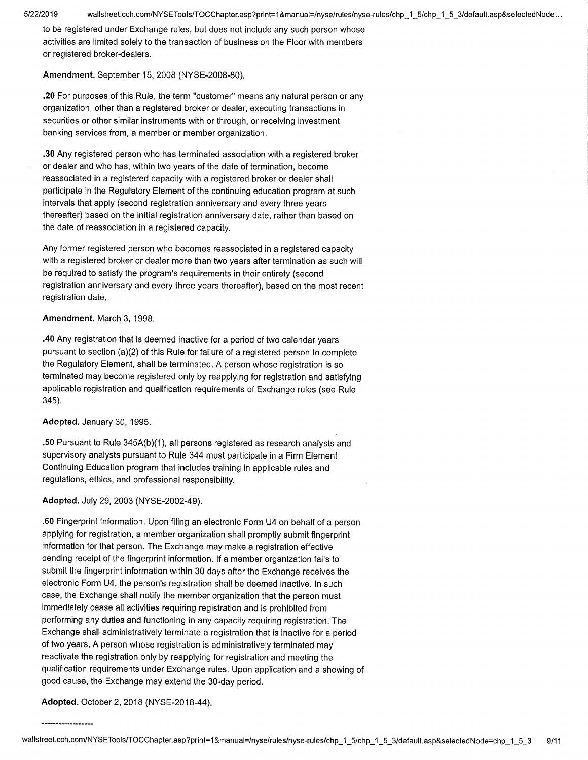to be registered under Exchange rules, but does not include any such person whose activities are limited solely to the transaction of business on the Floor with members or registered broker-dealers.

**Amendment.** September 15, 2008 (NYSE-2008-80).

**.20** For purposes of this Rule, the term "customer" means any natural person or any organization, other than a registered broker or dealer, executing transactions in securities or other similar instruments with or through, or receiving investment banking services from, a member or member organization.

**.30** Any registered person who has terminated association with a registered broker or dealer and who has, within two years of the date of termination, become reassociated in a registered capacity with a registered broker or dealer shall participate in the Regulatory Element of the continuing education program at such intervals that apply (second registration anniversary and every three years thereafter) based on the initial registration anniversary date, rather than based on the date of reassociation in a registered capacity.

Any former registered person who becomes reassociated in a registered capacity with a registered broker or dealer more than two years after termination as such will be required to satisfy the program's requirements in their entirety (second registration anniversary and every three years thereafter), based on the most recent registration date.

## **Amendment.** March 3, 1998,

**.40** Any registration that is deemed inactive for a period of two calendar years pursuant to section (a)(2) of this Rule for failure of a registered person to complete the Regulatory Element, shall be terminated. A person whose registration is so terminated may become registered only by reapplying for registration and satisfying applicable registration and qualification requirements of Exchange rules (see Rule 345).

**Adopted.** January 30, 1995.

**.50** Pursuant to Rule 345A(b)(1), all persons registered as research analysts and supervisory analysts pursuant to Rule 344 must participate in a Firm Element Continuing Education program that includes training in applicable rules and regulations, ethics, and professional responsibility.

## **Adopted.** July 29, 2003 (NYSE-2002-49).

**.60** Fingerprint Information. Upon filing an electronic Form U4 on behalf of a person applying for registration, a member organization shall promptly submit fingerprint information for that person. The Exchange may make a registration effective pending receipt of the fingerprint information. If a member organization fails to submit the fingerprint information within 30 days after the Exchange receives the electronic Form U4, the person's registration shall be deemed inactive. In such case, the Exchange shall notify the member organization that the person must immediately cease all activities requiring registration and is prohibited from performing any duties and functioning in any capacity requiring registration. The Exchange shall administratively terminate a registration that is inactive for a period of two years. A person whose registration is administratively terminated may reactivate the registration only by reapplying for registration and meeting the qualification requirements under Exchange rules. Upon application and a showing of good cause, the Exchange may extend the 30-day period.

**Adopted.** October 2, 2018 (NYSE-2018-44).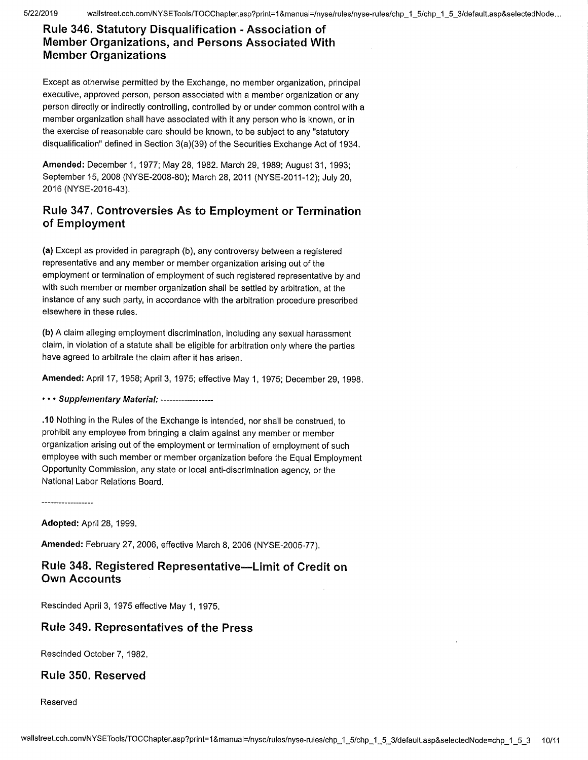5/22/2019 wallstreet.cch.com/NYSETools/TOCChapter.asp?print=1&manual=/nyse/rules/nyse-rules/chp\_1\_5/chp\_1\_5\_3/default.asp&selectedNode...

# Rule 346. Statutory Disqualification - Association of Member Organizations, and Persons Associated With Member Organizations

Except as otherwise permitted by the Exchange, no member organization, principal executive, approved person, person associated with a member organization or any person directly or indirectly controlling, controlled by or under common control with a member organization shall have associated with it any person who is known, or in the exercise of reasonable care should be known, to be subject to any "statutory disqualification" defined in Section 3(a)(39) of the Securities Exchange Act of 1934.

Amended: December 1, 1977; May 28, 1982. March 29, 1989; August 31, 1993; September 15, 2008 (NYSE-2008-80); March 28, 2011 (NYSE-2011-12); July 20, 2016 (NYSE-2016-43).

# Rule 347. Controversies As to Employment or Termination of Employment

(a)Except as provided in paragraph (b), any controversy between a registered representative and any member or member organization arising out of the employment or termination of employment of such registered representative by and with such member or member organization shall be settled by arbitration, at the instance of any such party, in accordance with the arbitration procedure prescribed elsewhere in these rules.

(b) A claim alleging employment discrimination, including any sexual harassment claim, in violation of a statute shall be eligible for arbitration only where the parties have agreed to arbitrate the claim after it has arisen.

Amended: April 17, 1958; April 3, 1975; effective May 1, 1975; December 29, 1998.

## • • • Supplementary Material: ------------------

.10 Nothing in the Rules of the Exchange is intended, nor shall be construed, to prohibit any employee from bringing a claim against any member or member organization arising out of the employment or termination of employment of such employee with such member or member organization before the Equal Employment Opportunity Commission, any state or local anti-discrimination agency, or the National Labor Relations Board.

Adopted: April 28, 1999.

Amended: February 27, 2006, effective March 8, 2006 (NYSE-2005-77).

# Rule 348. Registered Representative—Limit of Credit on Own Accounts

Rescinded April 3, 1975 effective May 1, 1975.

# Rule 349. Representatives of the Press

Rescinded October 7, 1982.

# Rule 350. Reserved

Reserved